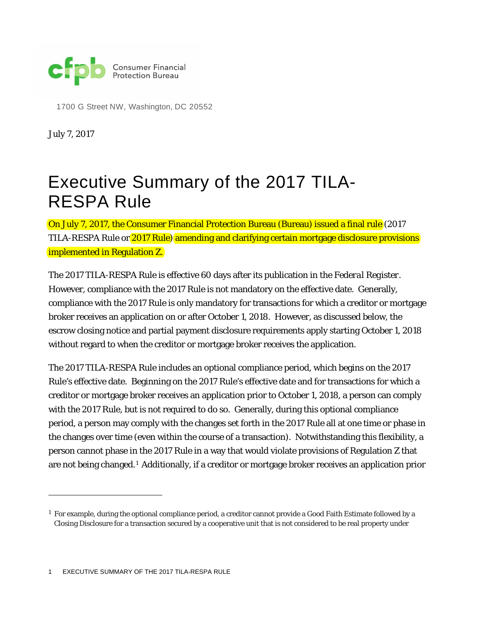

1700 G Street NW, Washington, DC 20552

July 7, 2017

1

# Executive Summary of the 2017 TILA-RESPA Rule

On July 7, 2017, the Consumer Financial Protection Bureau (Bureau) issued a final rule (2017 TILA-RESPA Rule or 2017 Rule) amending and clarifying certain mortgage disclosure provisions implemented in Regulation Z.

The 2017 TILA-RESPA Rule is effective 60 days after its publication in the *Federal Register*. However, compliance with the 2017 Rule is not mandatory on the effective date. Generally, compliance with the 2017 Rule is only mandatory for transactions for which a creditor or mortgage broker receives an application on or after October 1, 2018. However, as discussed below, the escrow closing notice and partial payment disclosure requirements apply starting October 1, 2018 without regard to when the creditor or mortgage broker receives the application.

The 2017 TILA-RESPA Rule includes an optional compliance period, which begins on the 2017 Rule's effective date. Beginning on the 2017 Rule's effective date and for transactions for which a creditor or mortgage broker receives an application prior to October 1, 2018, a person can comply with the 2017 Rule, but is not required to do so. Generally, during this optional compliance period, a person may comply with the changes set forth in the 2017 Rule all at one time or phase in the changes over time (even within the course of a transaction). Notwithstanding this flexibility, a person cannot phase in the 2017 Rule in a way that would violate provisions of Regulation Z that are not being changed.[1](#page-0-0) Additionally, if a creditor or mortgage broker receives an application prior

1 EXECUTIVE SUMMARY OF THE 2017 TILA-RESPA RULE

<span id="page-0-0"></span><sup>&</sup>lt;sup>1</sup> For example, during the optional compliance period, a creditor cannot provide a Good Faith Estimate followed by a Closing Disclosure for a transaction secured by a cooperative unit that is not considered to be real property under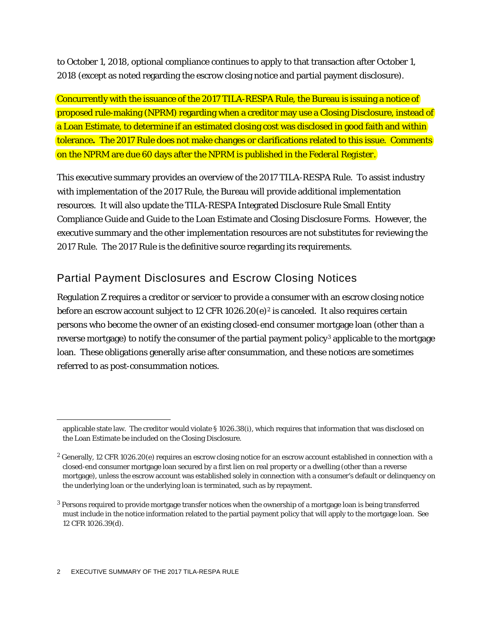to October 1, 2018, optional compliance continues to apply to that transaction after October 1, 2018 (except as noted regarding the escrow closing notice and partial payment disclosure).

Concurrently with the issuance of the 2017 TILA-RESPA Rule, the Bureau is issuing a notice of proposed rule-making (NPRM) regarding when a creditor may use a Closing Disclosure, instead of a Loan Estimate, to determine if an estimated closing cost was disclosed in good faith and within tolerance**.** The 2017 Rule does not make changes or clarifications related to this issue. Comments on the NPRM are due 60 days after the NPRM is published in the *Federal Register*.

This executive summary provides an overview of the 2017 TILA-RESPA Rule. To assist industry with implementation of the 2017 Rule, the Bureau will provide additional implementation resources. It will also update the TILA-RESPA Integrated Disclosure Rule Small Entity Compliance Guide and Guide to the Loan Estimate and Closing Disclosure Forms. However, the executive summary and the other implementation resources are not substitutes for reviewing the 2017 Rule. The 2017 Rule is the definitive source regarding its requirements.

# Partial Payment Disclosures and Escrow Closing Notices

Regulation Z requires a creditor or servicer to provide a consumer with an escrow closing notice before an escrow account subject to 1[2](#page-1-0) CFR 1026.20(e)<sup>2</sup> is canceled. It also requires certain persons who become the owner of an existing closed-end consumer mortgage loan (other than a reverse mortgage) to notify the consumer of the partial payment policy<sup>[3](#page-1-1)</sup> applicable to the mortgage loan. These obligations generally arise after consummation, and these notices are sometimes referred to as post-consummation notices.

applicable state law. The creditor would violate § 1026.38(i), which requires that information that was disclosed on the Loan Estimate be included on the Closing Disclosure.

<span id="page-1-0"></span><sup>&</sup>lt;sup>2</sup> Generally, 12 CFR 1026.20(e) requires an escrow closing notice for an escrow account established in connection with a closed-end consumer mortgage loan secured by a first lien on real property or a dwelling (other than a reverse mortgage), unless the escrow account was established solely in connection with a consumer's default or delinquency on the underlying loan or the underlying loan is terminated, such as by repayment.

<span id="page-1-1"></span><sup>3</sup> Persons required to provide mortgage transfer notices when the ownership of a mortgage loan is being transferred must include in the notice information related to the partial payment policy that will apply to the mortgage loan. *See*  12 CFR 1026.39(d).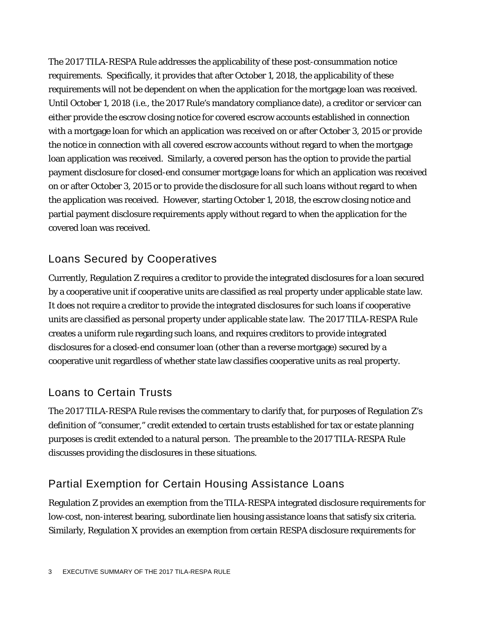The 2017 TILA-RESPA Rule addresses the applicability of these post-consummation notice requirements. Specifically, it provides that after October 1, 2018, the applicability of these requirements will not be dependent on when the application for the mortgage loan was received. Until October 1, 2018 (*i.e.*, the 2017 Rule's mandatory compliance date), a creditor or servicer can either provide the escrow closing notice for covered escrow accounts established in connection with a mortgage loan for which an application was received on or after October 3, 2015 or provide the notice in connection with all covered escrow accounts without regard to when the mortgage loan application was received. Similarly, a covered person has the option to provide the partial payment disclosure for closed-end consumer mortgage loans for which an application was received on or after October 3, 2015 or to provide the disclosure for all such loans without regard to when the application was received. However, starting October 1, 2018, the escrow closing notice and partial payment disclosure requirements apply without regard to when the application for the covered loan was received.

#### Loans Secured by Cooperatives

Currently, Regulation Z requires a creditor to provide the integrated disclosures for a loan secured by a cooperative unit if cooperative units are classified as real property under applicable state law. It does not require a creditor to provide the integrated disclosures for such loans if cooperative units are classified as personal property under applicable state law. The 2017 TILA-RESPA Rule creates a uniform rule regarding such loans, and requires creditors to provide integrated disclosures for a closed-end consumer loan (other than a reverse mortgage) secured by a cooperative unit regardless of whether state law classifies cooperative units as real property.

## Loans to Certain Trusts

The 2017 TILA-RESPA Rule revises the commentary to clarify that, for purposes of Regulation Z's definition of "consumer," credit extended to certain trusts established for tax or estate planning purposes is credit extended to a natural person. The preamble to the 2017 TILA-RESPA Rule discusses providing the disclosures in these situations.

# Partial Exemption for Certain Housing Assistance Loans

Regulation Z provides an exemption from the TILA-RESPA integrated disclosure requirements for low-cost, non-interest bearing, subordinate lien housing assistance loans that satisfy six criteria. Similarly, Regulation X provides an exemption from certain RESPA disclosure requirements for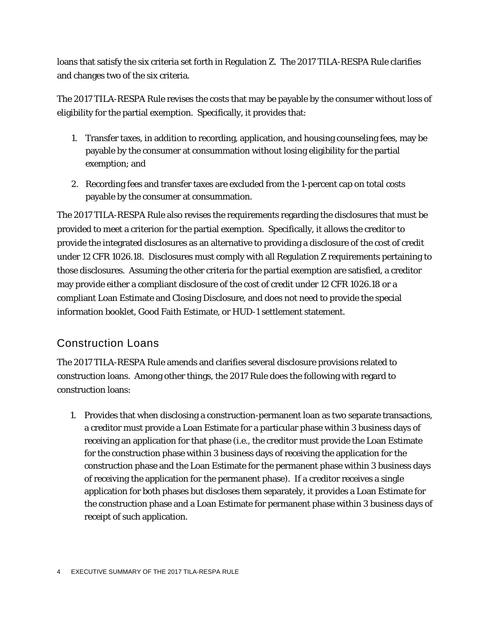loans that satisfy the six criteria set forth in Regulation Z. The 2017 TILA-RESPA Rule clarifies and changes two of the six criteria.

The 2017 TILA-RESPA Rule revises the costs that may be payable by the consumer without loss of eligibility for the partial exemption. Specifically, it provides that:

- 1. Transfer taxes, in addition to recording, application, and housing counseling fees, may be payable by the consumer at consummation without losing eligibility for the partial exemption; and
- 2. Recording fees and transfer taxes are excluded from the 1-percent cap on total costs payable by the consumer at consummation.

The 2017 TILA-RESPA Rule also revises the requirements regarding the disclosures that must be provided to meet a criterion for the partial exemption. Specifically, it allows the creditor to provide the integrated disclosures as an alternative to providing a disclosure of the cost of credit under 12 CFR 1026.18. Disclosures must comply with all Regulation Z requirements pertaining to those disclosures. Assuming the other criteria for the partial exemption are satisfied, a creditor may provide either a compliant disclosure of the cost of credit under 12 CFR 1026.18 or a compliant Loan Estimate and Closing Disclosure, and does not need to provide the special information booklet, Good Faith Estimate, or HUD-1 settlement statement.

## Construction Loans

The 2017 TILA-RESPA Rule amends and clarifies several disclosure provisions related to construction loans. Among other things, the 2017 Rule does the following with regard to construction loans:

1. Provides that when disclosing a construction-permanent loan as two separate transactions, a creditor must provide a Loan Estimate for a particular phase within 3 business days of receiving an application for that phase (*i.e.*, the creditor must provide the Loan Estimate for the construction phase within 3 business days of receiving the application for the construction phase and the Loan Estimate for the permanent phase within 3 business days of receiving the application for the permanent phase). If a creditor receives a single application for both phases but discloses them separately, it provides a Loan Estimate for the construction phase and a Loan Estimate for permanent phase within 3 business days of receipt of such application.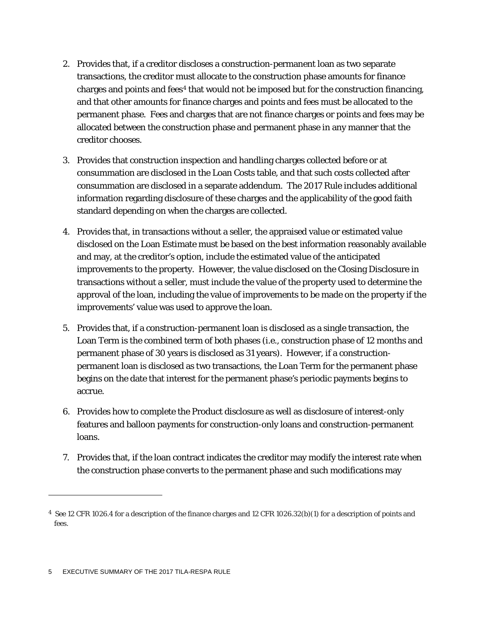- 2. Provides that, if a creditor discloses a construction-permanent loan as two separate transactions, the creditor must allocate to the construction phase amounts for finance charges and points and fees<sup> $4$ </sup> that would not be imposed but for the construction financing, and that other amounts for finance charges and points and fees must be allocated to the permanent phase. Fees and charges that are not finance charges or points and fees may be allocated between the construction phase and permanent phase in any manner that the creditor chooses.
- 3. Provides that construction inspection and handling charges collected before or at consummation are disclosed in the Loan Costs table, and that such costs collected after consummation are disclosed in a separate addendum. The 2017 Rule includes additional information regarding disclosure of these charges and the applicability of the good faith standard depending on when the charges are collected.
- 4. Provides that, in transactions without a seller, the appraised value or estimated value disclosed on the Loan Estimate must be based on the best information reasonably available and may, at the creditor's option, include the estimated value of the anticipated improvements to the property. However, the value disclosed on the Closing Disclosure in transactions without a seller, must include the value of the property used to determine the approval of the loan, including the value of improvements to be made on the property if the improvements' value was used to approve the loan.
- 5. Provides that, if a construction-permanent loan is disclosed as a single transaction, the Loan Term is the combined term of both phases (*i.e.*, construction phase of 12 months and permanent phase of 30 years is disclosed as 31 years). However, if a constructionpermanent loan is disclosed as two transactions, the Loan Term for the permanent phase begins on the date that interest for the permanent phase's periodic payments begins to accrue.
- 6. Provides how to complete the Product disclosure as well as disclosure of interest-only features and balloon payments for construction-only loans and construction-permanent loans.
- 7. Provides that, if the loan contract indicates the creditor may modify the interest rate when the construction phase converts to the permanent phase and such modifications may

<span id="page-4-0"></span><sup>4</sup> *See* 12 CFR 1026.4 for a description of the finance charges and 12 CFR 1026.32(b)(1) for a description of points and fees.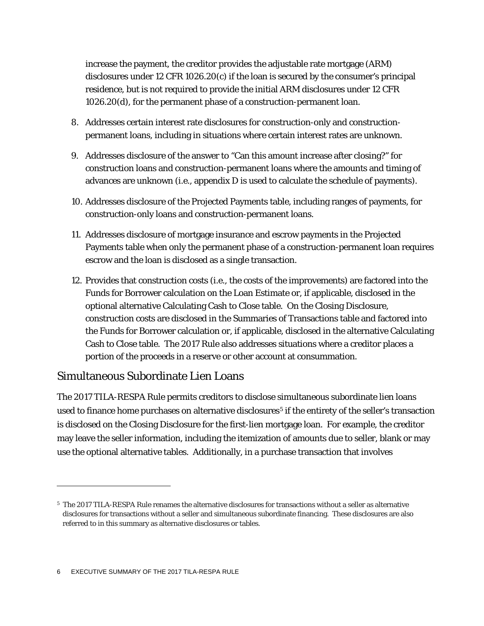increase the payment, the creditor provides the adjustable rate mortgage (ARM) disclosures under 12 CFR 1026.20(c) if the loan is secured by the consumer's principal residence, but is not required to provide the initial ARM disclosures under 12 CFR 1026.20(d), for the permanent phase of a construction-permanent loan.

- 8. Addresses certain interest rate disclosures for construction-only and constructionpermanent loans, including in situations where certain interest rates are unknown.
- 9. Addresses disclosure of the answer to "Can this amount increase after closing?" for construction loans and construction-permanent loans where the amounts and timing of advances are unknown (*i.e.*, appendix D is used to calculate the schedule of payments).
- 10. Addresses disclosure of the Projected Payments table, including ranges of payments, for construction-only loans and construction-permanent loans.
- 11. Addresses disclosure of mortgage insurance and escrow payments in the Projected Payments table when only the permanent phase of a construction-permanent loan requires escrow and the loan is disclosed as a single transaction.
- 12. Provides that construction costs (*i.e.*, the costs of the improvements) are factored into the Funds for Borrower calculation on the Loan Estimate or, if applicable, disclosed in the optional alternative Calculating Cash to Close table. On the Closing Disclosure, construction costs are disclosed in the Summaries of Transactions table and factored into the Funds for Borrower calculation or, if applicable, disclosed in the alternative Calculating Cash to Close table. The 2017 Rule also addresses situations where a creditor places a portion of the proceeds in a reserve or other account at consummation.

#### Simultaneous Subordinate Lien Loans

The 2017 TILA-RESPA Rule permits creditors to disclose simultaneous subordinate lien loans used to finance home purchases on alternative disclosures<sup>[5](#page-5-0)</sup> if the entirety of the seller's transaction is disclosed on the Closing Disclosure for the first-lien mortgage loan. For example, the creditor may leave the seller information, including the itemization of amounts due to seller, blank or may use the optional alternative tables. Additionally, in a purchase transaction that involves

<span id="page-5-0"></span><sup>5</sup> The 2017 TILA-RESPA Rule renames the alternative disclosures for transactions without a seller as alternative disclosures for transactions without a seller and simultaneous subordinate financing. These disclosures are also referred to in this summary as alternative disclosures or tables.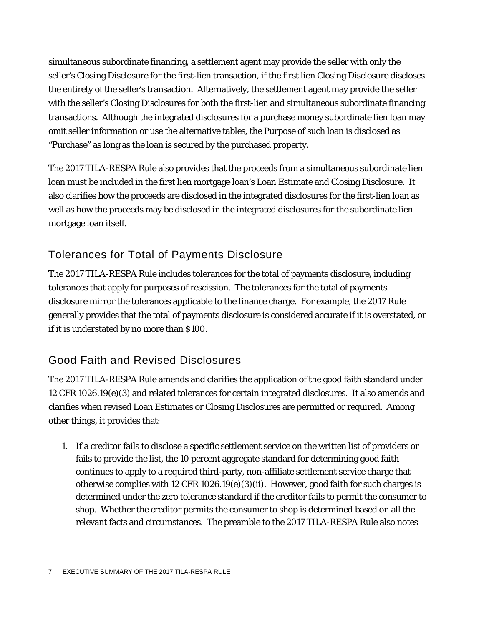simultaneous subordinate financing, a settlement agent may provide the seller with only the seller's Closing Disclosure for the first-lien transaction, if the first lien Closing Disclosure discloses the entirety of the seller's transaction. Alternatively, the settlement agent may provide the seller with the seller's Closing Disclosures for both the first-lien and simultaneous subordinate financing transactions. Although the integrated disclosures for a purchase money subordinate lien loan may omit seller information or use the alternative tables, the Purpose of such loan is disclosed as "Purchase" as long as the loan is secured by the purchased property.

The 2017 TILA-RESPA Rule also provides that the proceeds from a simultaneous subordinate lien loan must be included in the first lien mortgage loan's Loan Estimate and Closing Disclosure. It also clarifies how the proceeds are disclosed in the integrated disclosures for the first-lien loan as well as how the proceeds may be disclosed in the integrated disclosures for the subordinate lien mortgage loan itself.

#### Tolerances for Total of Payments Disclosure

The 2017 TILA-RESPA Rule includes tolerances for the total of payments disclosure, including tolerances that apply for purposes of rescission. The tolerances for the total of payments disclosure mirror the tolerances applicable to the finance charge. For example, the 2017 Rule generally provides that the total of payments disclosure is considered accurate if it is overstated, or if it is understated by no more than \$100.

#### Good Faith and Revised Disclosures

The 2017 TILA-RESPA Rule amends and clarifies the application of the good faith standard under 12 CFR 1026.19(e)(3) and related tolerances for certain integrated disclosures. It also amends and clarifies when revised Loan Estimates or Closing Disclosures are permitted or required. Among other things, it provides that:

1. If a creditor fails to disclose a specific settlement service on the written list of providers or fails to provide the list, the 10 percent aggregate standard for determining good faith continues to apply to a required third-party, non-affiliate settlement service charge that otherwise complies with 12 CFR 1026.19 $(e)(3)(ii)$ . However, good faith for such charges is determined under the zero tolerance standard if the creditor fails to permit the consumer to shop. Whether the creditor permits the consumer to shop is determined based on all the relevant facts and circumstances. The preamble to the 2017 TILA-RESPA Rule also notes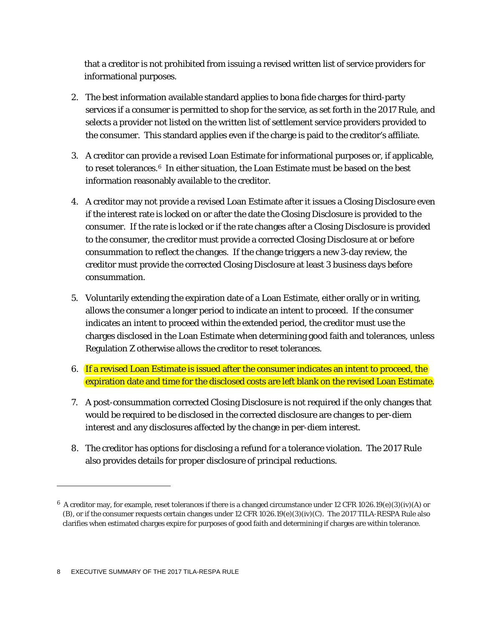that a creditor is not prohibited from issuing a revised written list of service providers for informational purposes.

- 2. The best information available standard applies to bona fide charges for third-party services if a consumer is permitted to shop for the service, as set forth in the 2017 Rule, and selects a provider not listed on the written list of settlement service providers provided to the consumer. This standard applies even if the charge is paid to the creditor's affiliate.
- 3. A creditor can provide a revised Loan Estimate for informational purposes or, if applicable, to reset tolerances.<sup>[6](#page-7-0)</sup> In either situation, the Loan Estimate must be based on the best information reasonably available to the creditor.
- 4. A creditor may not provide a revised Loan Estimate after it issues a Closing Disclosure even if the interest rate is locked on or after the date the Closing Disclosure is provided to the consumer. If the rate is locked or if the rate changes after a Closing Disclosure is provided to the consumer, the creditor must provide a corrected Closing Disclosure at or before consummation to reflect the changes. If the change triggers a new 3-day review, the creditor must provide the corrected Closing Disclosure at least 3 business days before consummation.
- 5. Voluntarily extending the expiration date of a Loan Estimate, either orally or in writing, allows the consumer a longer period to indicate an intent to proceed. If the consumer indicates an intent to proceed within the extended period, the creditor must use the charges disclosed in the Loan Estimate when determining good faith and tolerances, unless Regulation Z otherwise allows the creditor to reset tolerances.
- 6. If a revised Loan Estimate is issued after the consumer indicates an intent to proceed, the expiration date and time for the disclosed costs are left blank on the revised Loan Estimate.
- 7. A post-consummation corrected Closing Disclosure is not required if the only changes that would be required to be disclosed in the corrected disclosure are changes to per-diem interest and any disclosures affected by the change in per-diem interest.
- 8. The creditor has options for disclosing a refund for a tolerance violation. The 2017 Rule also provides details for proper disclosure of principal reductions.

<span id="page-7-0"></span> $6$  A creditor may, for example, reset tolerances if there is a changed circumstance under 12 CFR 1026.19(e)(3)(iv)(A) or (B), or if the consumer requests certain changes under 12 CFR 1026.19(e)(3)(iv)(C). The 2017 TILA-RESPA Rule also clarifies when estimated charges expire for purposes of good faith and determining if charges are within tolerance.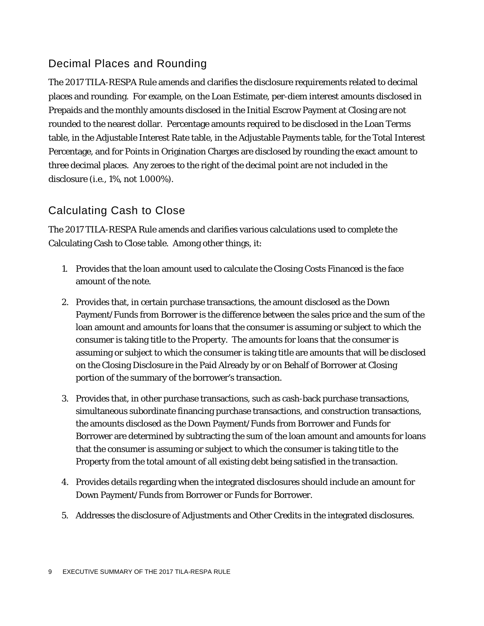#### Decimal Places and Rounding

The 2017 TILA-RESPA Rule amends and clarifies the disclosure requirements related to decimal places and rounding. For example, on the Loan Estimate, per-diem interest amounts disclosed in Prepaids and the monthly amounts disclosed in the Initial Escrow Payment at Closing are not rounded to the nearest dollar. Percentage amounts required to be disclosed in the Loan Terms table, in the Adjustable Interest Rate table, in the Adjustable Payments table, for the Total Interest Percentage, and for Points in Origination Charges are disclosed by rounding the exact amount to three decimal places. Any zeroes to the right of the decimal point are not included in the disclosure (*i.e.*, 1%, not 1.000%).

#### Calculating Cash to Close

The 2017 TILA-RESPA Rule amends and clarifies various calculations used to complete the Calculating Cash to Close table. Among other things, it:

- 1. Provides that the loan amount used to calculate the Closing Costs Financed is the face amount of the note.
- 2. Provides that, in certain purchase transactions, the amount disclosed as the Down Payment/Funds from Borrower is the difference between the sales price and the sum of the loan amount and amounts for loans that the consumer is assuming or subject to which the consumer is taking title to the Property. The amounts for loans that the consumer is assuming or subject to which the consumer is taking title are amounts that will be disclosed on the Closing Disclosure in the Paid Already by or on Behalf of Borrower at Closing portion of the summary of the borrower's transaction.
- 3. Provides that, in other purchase transactions, such as cash-back purchase transactions, simultaneous subordinate financing purchase transactions, and construction transactions, the amounts disclosed as the Down Payment/Funds from Borrower and Funds for Borrower are determined by subtracting the sum of the loan amount and amounts for loans that the consumer is assuming or subject to which the consumer is taking title to the Property from the total amount of all existing debt being satisfied in the transaction.
- 4. Provides details regarding when the integrated disclosures should include an amount for Down Payment/Funds from Borrower or Funds for Borrower.
- 5. Addresses the disclosure of Adjustments and Other Credits in the integrated disclosures.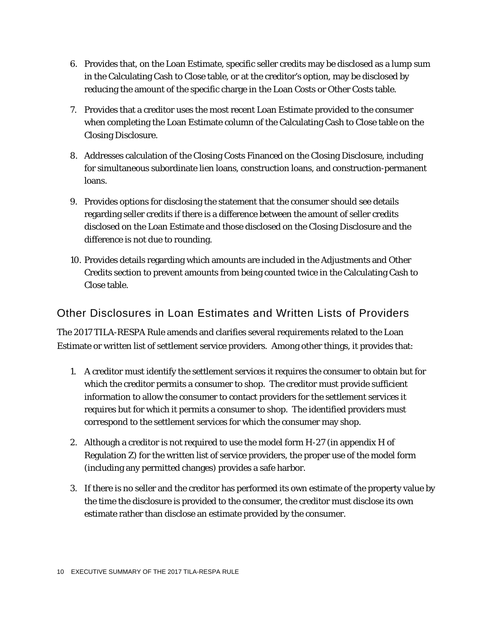- 6. Provides that, on the Loan Estimate, specific seller credits may be disclosed as a lump sum in the Calculating Cash to Close table, or at the creditor's option, may be disclosed by reducing the amount of the specific charge in the Loan Costs or Other Costs table.
- 7. Provides that a creditor uses the most recent Loan Estimate provided to the consumer when completing the Loan Estimate column of the Calculating Cash to Close table on the Closing Disclosure.
- 8. Addresses calculation of the Closing Costs Financed on the Closing Disclosure, including for simultaneous subordinate lien loans, construction loans, and construction-permanent loans.
- 9. Provides options for disclosing the statement that the consumer should see details regarding seller credits if there is a difference between the amount of seller credits disclosed on the Loan Estimate and those disclosed on the Closing Disclosure and the difference is not due to rounding.
- 10. Provides details regarding which amounts are included in the Adjustments and Other Credits section to prevent amounts from being counted twice in the Calculating Cash to Close table.

#### Other Disclosures in Loan Estimates and Written Lists of Providers

The 2017 TILA-RESPA Rule amends and clarifies several requirements related to the Loan Estimate or written list of settlement service providers. Among other things, it provides that:

- 1. A creditor must identify the settlement services it requires the consumer to obtain but for which the creditor permits a consumer to shop. The creditor must provide sufficient information to allow the consumer to contact providers for the settlement services it requires but for which it permits a consumer to shop. The identified providers must correspond to the settlement services for which the consumer may shop.
- 2. Although a creditor is not required to use the model form H-27 (in appendix H of Regulation Z) for the written list of service providers, the proper use of the model form (including any permitted changes) provides a safe harbor.
- 3. If there is no seller and the creditor has performed its own estimate of the property value by the time the disclosure is provided to the consumer, the creditor must disclose its own estimate rather than disclose an estimate provided by the consumer.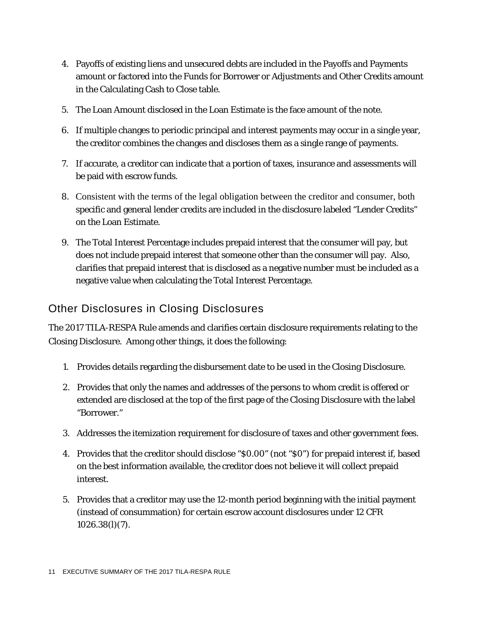- 4. Payoffs of existing liens and unsecured debts are included in the Payoffs and Payments amount or factored into the Funds for Borrower or Adjustments and Other Credits amount in the Calculating Cash to Close table.
- 5. The Loan Amount disclosed in the Loan Estimate is the face amount of the note.
- 6. If multiple changes to periodic principal and interest payments may occur in a single year, the creditor combines the changes and discloses them as a single range of payments.
- 7. If accurate, a creditor can indicate that a portion of taxes, insurance and assessments will be paid with escrow funds.
- 8. Consistent with the terms of the legal obligation between the creditor and consumer, both specific and general lender credits are included in the disclosure labeled "Lender Credits" on the Loan Estimate.
- 9. The Total Interest Percentage includes prepaid interest that the consumer will pay, but does not include prepaid interest that someone other than the consumer will pay. Also, clarifies that prepaid interest that is disclosed as a negative number must be included as a negative value when calculating the Total Interest Percentage.

#### Other Disclosures in Closing Disclosures

The 2017 TILA-RESPA Rule amends and clarifies certain disclosure requirements relating to the Closing Disclosure. Among other things, it does the following:

- 1. Provides details regarding the disbursement date to be used in the Closing Disclosure.
- 2. Provides that only the names and addresses of the persons to whom credit is offered or extended are disclosed at the top of the first page of the Closing Disclosure with the label "Borrower."
- 3. Addresses the itemization requirement for disclosure of taxes and other government fees.
- 4. Provides that the creditor should disclose "\$0.00" (not "\$0") for prepaid interest if, based on the best information available, the creditor does not believe it will collect prepaid interest.
- 5. Provides that a creditor may use the 12-month period beginning with the initial payment (instead of consummation) for certain escrow account disclosures under 12 CFR 1026.38(l)(7).